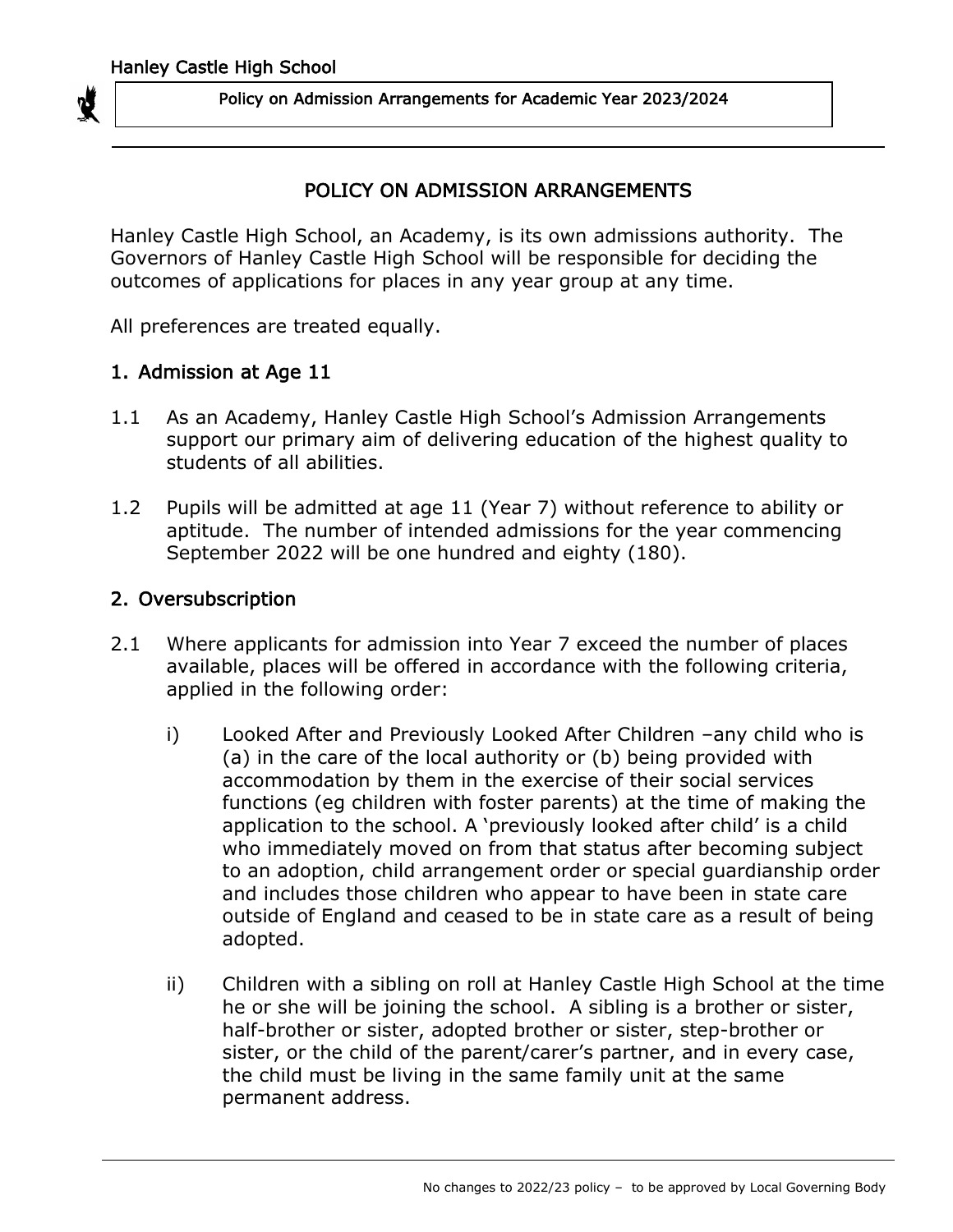

### POLICY ON ADMISSION ARRANGEMENTS

Hanley Castle High School, an Academy, is its own admissions authority. The Governors of Hanley Castle High School will be responsible for deciding the outcomes of applications for places in any year group at any time.

All preferences are treated equally.

### 1. Admission at Age 11

- 1.1 As an Academy, Hanley Castle High School's Admission Arrangements support our primary aim of delivering education of the highest quality to students of all abilities.
- 1.2 Pupils will be admitted at age 11 (Year 7) without reference to ability or aptitude. The number of intended admissions for the year commencing September 2022 will be one hundred and eighty (180).

### 2. Oversubscription

- 2.1 Where applicants for admission into Year 7 exceed the number of places available, places will be offered in accordance with the following criteria, applied in the following order:
	- i) Looked After and Previously Looked After Children –any child who is (a) in the care of the local authority or (b) being provided with accommodation by them in the exercise of their social services functions (eg children with foster parents) at the time of making the application to the school. A 'previously looked after child' is a child who immediately moved on from that status after becoming subject to an adoption, child arrangement order or special guardianship order and includes those children who appear to have been in state care outside of England and ceased to be in state care as a result of being adopted.
	- ii) Children with a sibling on roll at Hanley Castle High School at the time he or she will be joining the school. A sibling is a brother or sister, half-brother or sister, adopted brother or sister, step-brother or sister, or the child of the parent/carer's partner, and in every case, the child must be living in the same family unit at the same permanent address.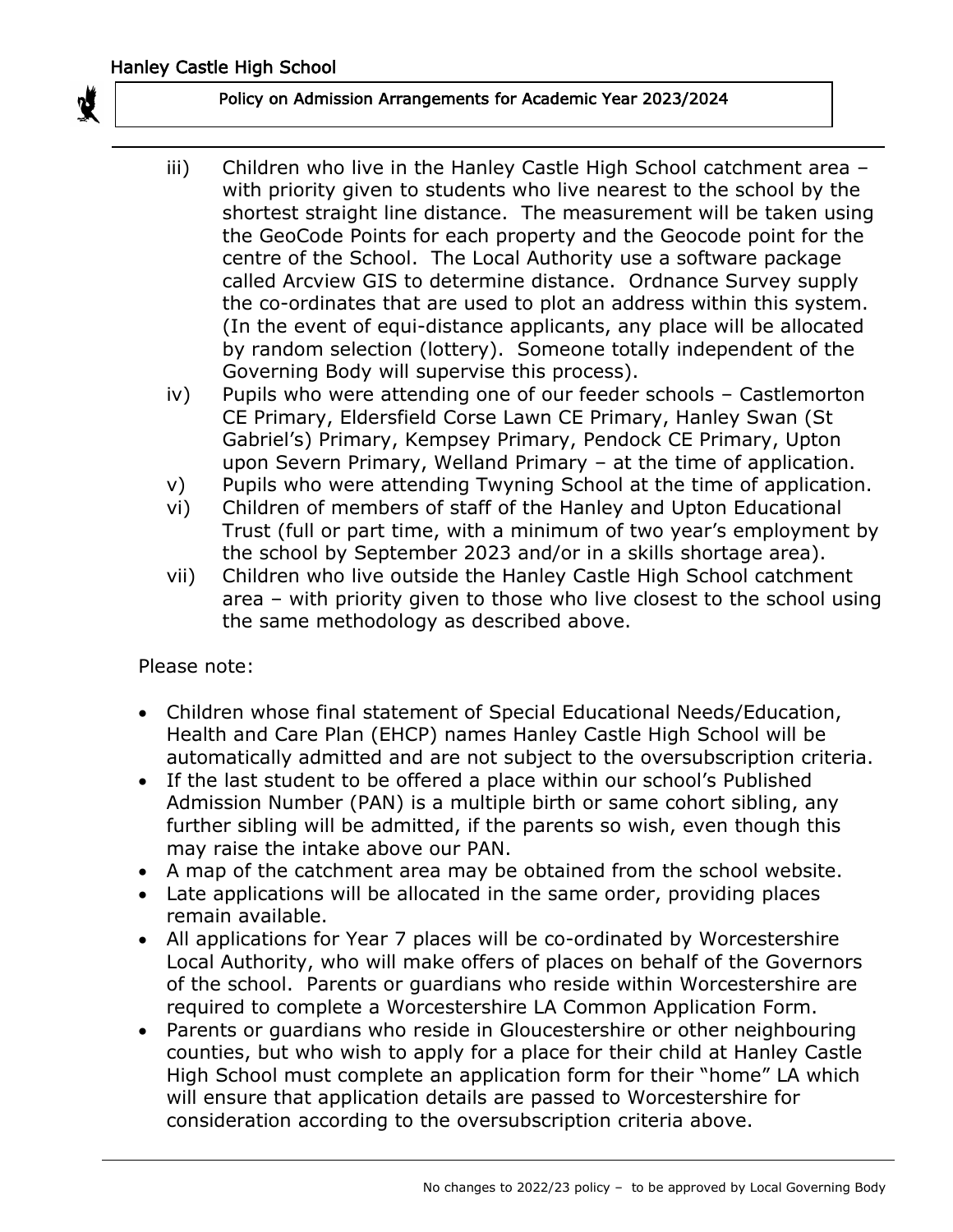

- iii) Children who live in the Hanley Castle High School catchment area with priority given to students who live nearest to the school by the shortest straight line distance. The measurement will be taken using the GeoCode Points for each property and the Geocode point for the centre of the School. The Local Authority use a software package called Arcview GIS to determine distance. Ordnance Survey supply the co-ordinates that are used to plot an address within this system. (In the event of equi-distance applicants, any place will be allocated by random selection (lottery). Someone totally independent of the Governing Body will supervise this process).
- iv) Pupils who were attending one of our feeder schools Castlemorton CE Primary, Eldersfield Corse Lawn CE Primary, Hanley Swan (St Gabriel's) Primary, Kempsey Primary, Pendock CE Primary, Upton upon Severn Primary, Welland Primary – at the time of application.
- v) Pupils who were attending Twyning School at the time of application.
- vi) Children of members of staff of the Hanley and Upton Educational Trust (full or part time, with a minimum of two year's employment by the school by September 2023 and/or in a skills shortage area).
- vii) Children who live outside the Hanley Castle High School catchment area – with priority given to those who live closest to the school using the same methodology as described above.

Please note:

- Children whose final statement of Special Educational Needs/Education, Health and Care Plan (EHCP) names Hanley Castle High School will be automatically admitted and are not subject to the oversubscription criteria.
- If the last student to be offered a place within our school's Published Admission Number (PAN) is a multiple birth or same cohort sibling, any further sibling will be admitted, if the parents so wish, even though this may raise the intake above our PAN.
- A map of the catchment area may be obtained from the school website.
- Late applications will be allocated in the same order, providing places remain available.
- All applications for Year 7 places will be co-ordinated by Worcestershire Local Authority, who will make offers of places on behalf of the Governors of the school. Parents or guardians who reside within Worcestershire are required to complete a Worcestershire LA Common Application Form.
- Parents or guardians who reside in Gloucestershire or other neighbouring counties, but who wish to apply for a place for their child at Hanley Castle High School must complete an application form for their "home" LA which will ensure that application details are passed to Worcestershire for consideration according to the oversubscription criteria above.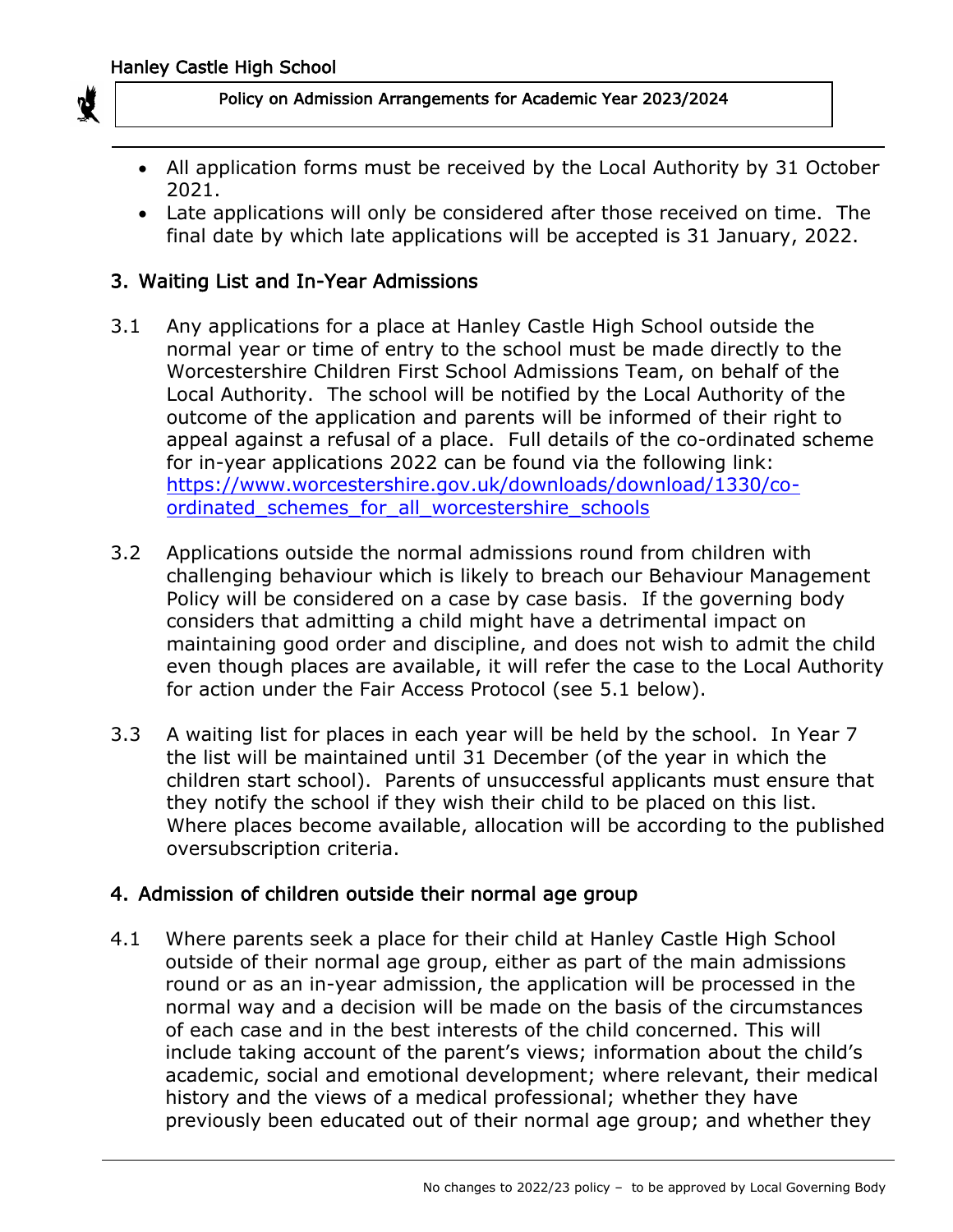

- All application forms must be received by the Local Authority by 31 October 2021.
- Late applications will only be considered after those received on time. The final date by which late applications will be accepted is 31 January, 2022.

## 3. Waiting List and In-Year Admissions

- 3.1 Any applications for a place at Hanley Castle High School outside the normal year or time of entry to the school must be made directly to the Worcestershire Children First School Admissions Team, on behalf of the Local Authority. The school will be notified by the Local Authority of the outcome of the application and parents will be informed of their right to appeal against a refusal of a place. Full details of the co-ordinated scheme for in-year applications 2022 can be found via the following link: [https://www.worcestershire.gov.uk/downloads/download/1330/co](https://www.worcestershire.gov.uk/downloads/download/1330/co-ordinated_schemes_for_all_worcestershire_schools)ordinated schemes for all worcestershire schools
- 3.2 Applications outside the normal admissions round from children with challenging behaviour which is likely to breach our Behaviour Management Policy will be considered on a case by case basis. If the governing body considers that admitting a child might have a detrimental impact on maintaining good order and discipline, and does not wish to admit the child even though places are available, it will refer the case to the Local Authority for action under the Fair Access Protocol (see 5.1 below).
- 3.3 A waiting list for places in each year will be held by the school. In Year 7 the list will be maintained until 31 December (of the year in which the children start school). Parents of unsuccessful applicants must ensure that they notify the school if they wish their child to be placed on this list. Where places become available, allocation will be according to the published oversubscription criteria.

## 4. Admission of children outside their normal age group

4.1 Where parents seek a place for their child at Hanley Castle High School outside of their normal age group, either as part of the main admissions round or as an in-year admission, the application will be processed in the normal way and a decision will be made on the basis of the circumstances of each case and in the best interests of the child concerned. This will include taking account of the parent's views; information about the child's academic, social and emotional development; where relevant, their medical history and the views of a medical professional; whether they have previously been educated out of their normal age group; and whether they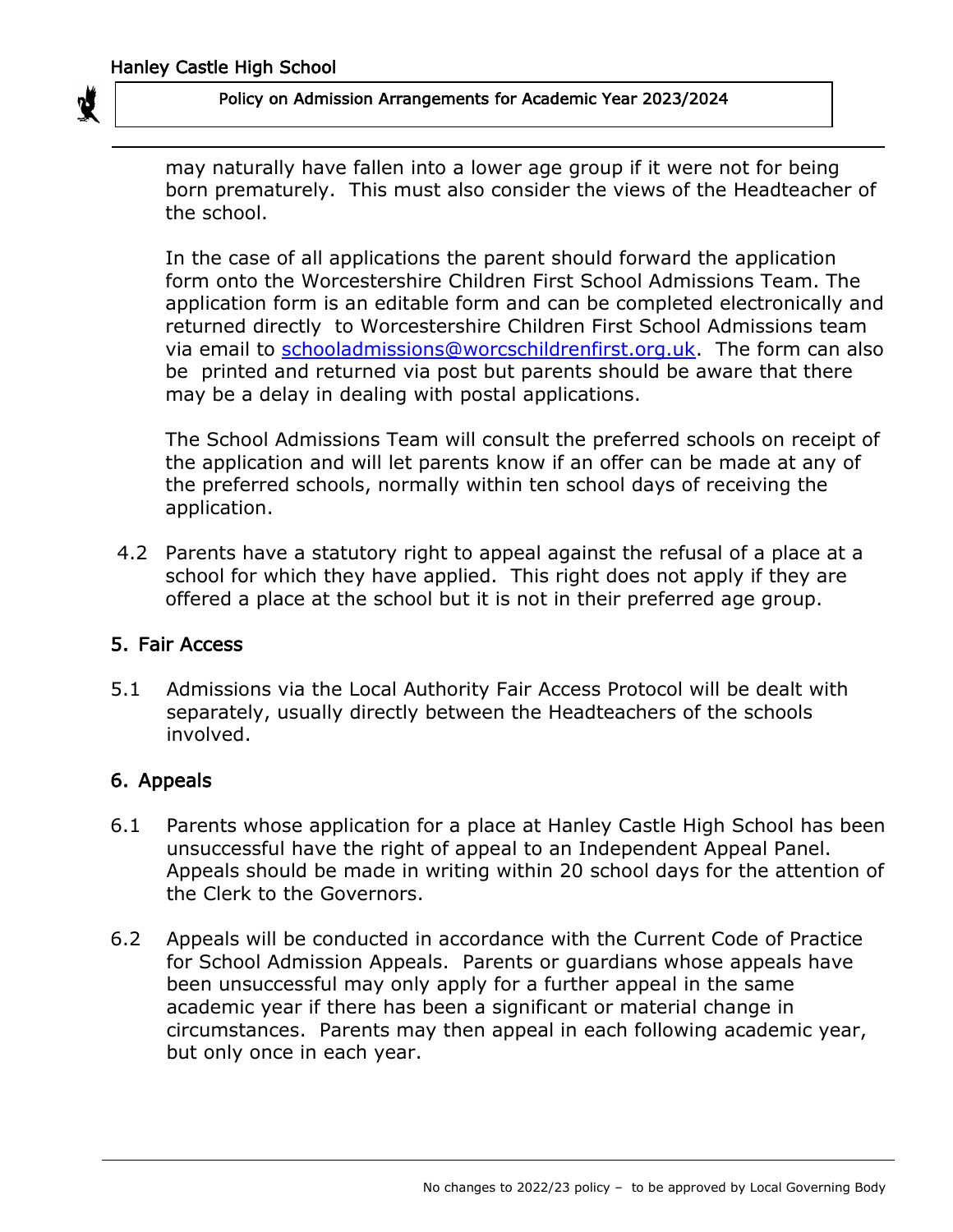

may naturally have fallen into a lower age group if it were not for being born prematurely. This must also consider the views of the Headteacher of the school.

In the case of all applications the parent should forward the application form onto the Worcestershire Children First School Admissions Team. The application form is an editable form and can be completed electronically and returned directly to Worcestershire Children First School Admissions team via email to [schooladmissions@worcschildrenfirst.org.uk.](mailto:schooladmissions@worcschildrenfirst.org.uk) The form can also be printed and returned via post but parents should be aware that there may be a delay in dealing with postal applications.

The School Admissions Team will consult the preferred schools on receipt of the application and will let parents know if an offer can be made at any of the preferred schools, normally within ten school days of receiving the application.

 4.2 Parents have a statutory right to appeal against the refusal of a place at a school for which they have applied. This right does not apply if they are offered a place at the school but it is not in their preferred age group.

## 5. Fair Access

5.1 Admissions via the Local Authority Fair Access Protocol will be dealt with separately, usually directly between the Headteachers of the schools involved.

## 6. Appeals

- 6.1 Parents whose application for a place at Hanley Castle High School has been unsuccessful have the right of appeal to an Independent Appeal Panel. Appeals should be made in writing within 20 school days for the attention of the Clerk to the Governors.
- 6.2 Appeals will be conducted in accordance with the Current Code of Practice for School Admission Appeals. Parents or guardians whose appeals have been unsuccessful may only apply for a further appeal in the same academic year if there has been a significant or material change in circumstances. Parents may then appeal in each following academic year, but only once in each year.